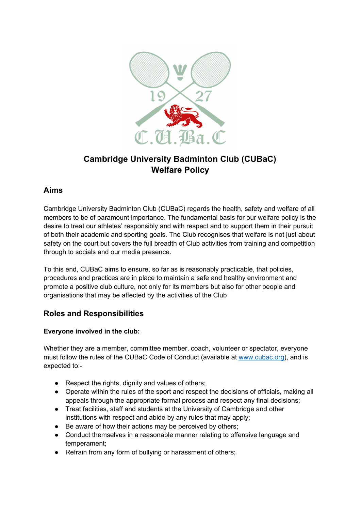

# **Cambridge University Badminton Club (CUBaC) Welfare Policy**

## **Aims**

Cambridge University Badminton Club (CUBaC) regards the health, safety and welfare of all members to be of paramount importance. The fundamental basis for our welfare policy is the desire to treat our athletes' responsibly and with respect and to support them in their pursuit of both their academic and sporting goals. The Club recognises that welfare is not just about safety on the court but covers the full breadth of Club activities from training and competition through to socials and our media presence.

To this end, CUBaC aims to ensure, so far as is reasonably practicable, that policies, procedures and practices are in place to maintain a safe and healthy environment and promote a positive club culture, not only for its members but also for other people and organisations that may be affected by the activities of the Club

## **Roles and Responsibilities**

### **Everyone involved in the club:**

Whether they are a member, committee member, coach, volunteer or spectator, everyone must follow the rules of the CUBaC Code of Conduct (available at [www.cubac.org\)](http://www.cubac.org/), and is expected to:-

- Respect the rights, dignity and values of others;
- Operate within the rules of the sport and respect the decisions of officials, making all appeals through the appropriate formal process and respect any final decisions;
- Treat facilities, staff and students at the University of Cambridge and other institutions with respect and abide by any rules that may apply;
- Be aware of how their actions may be perceived by others;
- Conduct themselves in a reasonable manner relating to offensive language and temperament;
- Refrain from any form of bullying or harassment of others;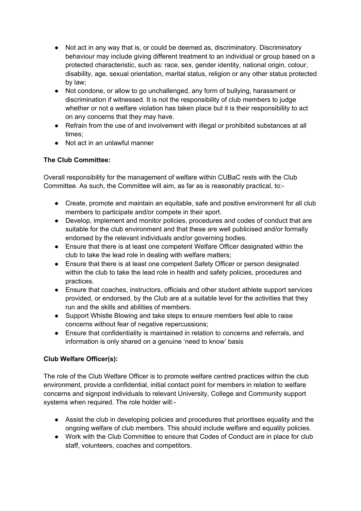- Not act in any way that is, or could be deemed as, discriminatory. Discriminatory behaviour may include giving different treatment to an individual or group based on a protected characteristic, such as: race, sex, gender identity, national origin, colour, disability, age, sexual orientation, marital status, religion or any other status protected by law;
- Not condone, or allow to go unchallenged, any form of bullying, harassment or discrimination if witnessed. It is not the responsibility of club members to judge whether or not a welfare violation has taken place but it is their responsibility to act on any concerns that they may have.
- Refrain from the use of and involvement with illegal or prohibited substances at all times;
- Not act in an unlawful manner

#### **The Club Committee:**

Overall responsibility for the management of welfare within CUBaC rests with the Club Committee. As such, the Committee will aim, as far as is reasonably practical, to:-

- Create, promote and maintain an equitable, safe and positive environment for all club members to participate and/or compete in their sport.
- Develop, implement and monitor policies, procedures and codes of conduct that are suitable for the club environment and that these are well publicised and/or formally endorsed by the relevant individuals and/or governing bodies.
- Ensure that there is at least one competent Welfare Officer designated within the club to take the lead role in dealing with welfare matters;
- Ensure that there is at least one competent Safety Officer or person designated within the club to take the lead role in health and safety policies, procedures and practices.
- Ensure that coaches, instructors, officials and other student athlete support services provided, or endorsed, by the Club are at a suitable level for the activities that they run and the skills and abilities of members.
- Support Whistle Blowing and take steps to ensure members feel able to raise concerns without fear of negative repercussions;
- Ensure that confidentiality is maintained in relation to concerns and referrals, and information is only shared on a genuine 'need to know' basis

#### **Club Welfare Officer(s):**

The role of the Club Welfare Officer is to promote welfare centred practices within the club environment, provide a confidential, initial contact point for members in relation to welfare concerns and signpost individuals to relevant University, College and Community support systems when required. The role holder will:-

- Assist the club in developing policies and procedures that prioritises equality and the ongoing welfare of club members. This should include welfare and equality policies.
- Work with the Club Committee to ensure that Codes of Conduct are in place for club staff, volunteers, coaches and competitors.